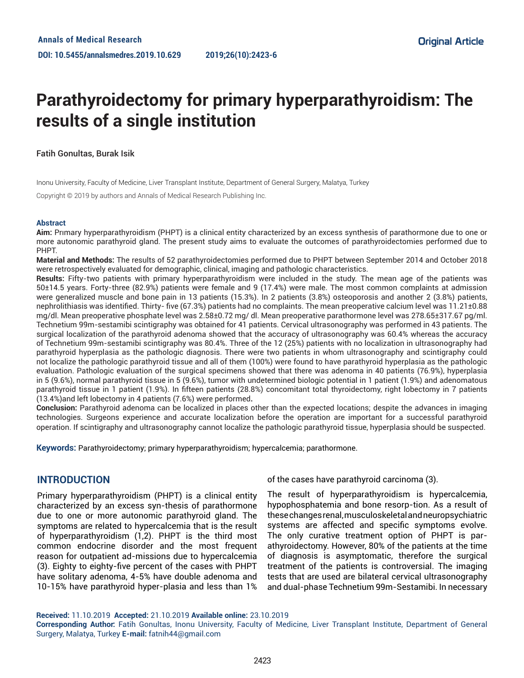# **Parathyroidectomy for primary hyperparathyroidism: The results of a single institution**

## Fatih Gonultas, Burak Isik

Inonu University, Faculty of Medicine, Liver Transplant Institute, Department of General Surgery, Malatya, Turkey

Copyright © 2019 by authors and Annals of Medical Research Publishing Inc.

#### **Abstract**

**Aim:** Prımary hyperparathyroidism (PHPT) is a clinical entity characterized by an excess synthesis of parathormone due to one or more autonomic parathyroid gland. The present study aims to evaluate the outcomes of parathyroidectomies performed due to PHPT.

**Material and Methods:** The results of 52 parathyroidectomies performed due to PHPT between September 2014 and October 2018 were retrospectively evaluated for demographic, clinical, imaging and pathologic characteristics.

**Results:** Fifty-two patients with primary hyperparathyroidism were included in the study. The mean age of the patients was 50±14.5 years. Forty-three (82.9%) patients were female and 9 (17.4%) were male. The most common complaints at admission were generalized muscle and bone pain in 13 patients (15.3%). In 2 patients (3.8%) osteoporosis and another 2 (3.8%) patients, nephrolithiasis was identified. Thirty- five (67.3%) patients had no complaints. The mean preoperative calcium level was 11.21±0.88 mg/dl. Mean preoperative phosphate level was 2.58±0.72 mg/ dl. Mean preoperative parathormone level was 278.65±317.67 pg/ml. Technetium 99m-sestamibi scintigraphy was obtained for 41 patients. Cervical ultrasonography was performed in 43 patients. The surgical localization of the parathyroid adenoma showed that the accuracy of ultrasonography was 60.4% whereas the accuracy of Technetium 99m-sestamibi scintigraphy was 80.4%. Three of the 12 (25%) patients with no localization in ultrasonography had parathyroid hyperplasia as the pathologic diagnosis. There were two patients in whom ultrasonography and scintigraphy could not localize the pathologic parathyroid tissue and all of them (100%) were found to have parathyroid hyperplasia as the pathologic evaluation. Pathologic evaluation of the surgical specimens showed that there was adenoma in 40 patients (76.9%), hyperplasia in 5 (9.6%), normal parathyroid tissue in 5 (9.6%), tumor with undetermined biologic potential in 1 patient (1.9%) and adenomatous parathyroid tissue in 1 patient (1.9%). In fifteen patients (28.8%) concomitant total thyroidectomy, right lobectomy in 7 patients (13.4%)and left lobectomy in 4 patients (7.6%) were performed**.**

**Conclusion:** Parathyroid adenoma can be localized in places other than the expected locations; despite the advances in imaging technologies. Surgeons experience and accurate localization before the operation are important for a successful parathyroid operation. If scintigraphy and ultrasonography cannot localize the pathologic parathyroid tissue, hyperplasia should be suspected.

**Keywords:** Parathyroidectomy; primary hyperparathyroidism; hypercalcemia; parathormone.

# **INTRODUCTION**

Primary hyperparathyroidism (PHPT) is a clinical entity characterized by an excess syn-thesis of parathormone due to one or more autonomic parathyroid gland. The symptoms are related to hypercalcemia that is the result of hyperparathyroidism (1,2). PHPT is the third most common endocrine disorder and the most frequent reason for outpatient ad-missions due to hypercalcemia (3). Eighty to eighty-five percent of the cases with PHPT have solitary adenoma, 4-5% have double adenoma and 10-15% have parathyroid hyper-plasia and less than 1% of the cases have parathyroid carcinoma (3).

The result of hyperparathyroidism is hypercalcemia, hypophosphatemia and bone resorp-tion. As a result of these changes renal, musculoskeletal and neuropsychiatric systems are affected and specific symptoms evolve. The only curative treatment option of PHPT is parathyroidectomy. However, 80% of the patients at the time of diagnosis is asymptomatic, therefore the surgical treatment of the patients is controversial. The imaging tests that are used are bilateral cervical ultrasonography and dual-phase Technetium 99m-Sestamibi. In necessary

**Received:** 11.10.2019 **Accepted:** 21.10.2019 **Available online:** 23.10.2019

**Corresponding Author:** Fatih Gonultas, Inonu University, Faculty of Medicine, Liver Transplant Institute, Department of General Surgery, Malatya, Turkey **E-mail:** fatnih44@gmail.com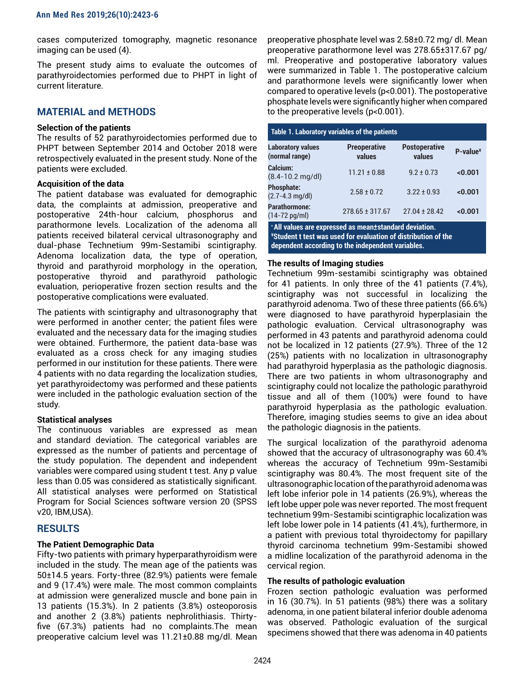cases computerized tomography, magnetic resonance imaging can be used (4).

The present study aims to evaluate the outcomes of parathyroidectomies performed due to PHPT in light of current literature.

# **MATERIAL and METHODS**

#### **Selection of the patients**

The results of 52 parathyroidectomies performed due to PHPT between September 2014 and October 2018 were retrospectively evaluated in the present study. None of the patients were excluded.

## **Acquisition of the data**

The patient database was evaluated for demographic data, the complaints at admission, preoperative and postoperative 24th-hour calcium, phosphorus and parathormone levels. Localization of the adenoma all patients received bilateral cervical ultrasonography and dual-phase Technetium 99m-Sestamibi scintigraphy. Adenoma localization data, the type of operation, thyroid and parathyroid morphology in the operation, postoperative thyroid and parathyroid pathologic evaluation, perioperative frozen section results and the postoperative complications were evaluated.

The patients with scintigraphy and ultrasonography that were performed in another center; the patient files were evaluated and the necessary data for the imaging studies were obtained. Furthermore, the patient data-base was evaluated as a cross check for any imaging studies performed in our institution for these patients. There were 4 patients with no data regarding the localization studies, yet parathyroidectomy was performed and these patients were included in the pathologic evaluation section of the study.

## **Statistical analyses**

The continuous variables are expressed as mean and standard deviation. The categorical variables are expressed as the number of patients and percentage of the study population. The dependent and independent variables were compared using student t test. Any p value less than 0.05 was considered as statistically significant. All statistical analyses were performed on Statistical Program for Social Sciences software version 20 (SPSS v20, IBM,USA).

# **RESULTS**

## **The Patient Demographic Data**

Fifty-two patients with primary hyperparathyroidism were included in the study. The mean age of the patients was 50±14.5 years. Forty-three (82.9%) patients were female and 9 (17.4%) were male. The most common complaints at admission were generalized muscle and bone pain in 13 patients (15.3%). In 2 patients (3.8%) osteoporosis and another 2 (3.8%) patients nephrolithiasis. Thirtyfive (67.3%) patients had no complaints.The mean preoperative calcium level was 11.21±0.88 mg/dl. Mean

preoperative phosphate level was 2.58±0.72 mg/ dl. Mean preoperative parathormone level was 278.65±317.67 pg/ ml. Preoperative and postoperative laboratory values were summarized in Table 1. The postoperative calcium and parathormone levels were significantly lower when compared to operative levels (p<0.001). The postoperative phosphate levels were significantly higher when compared to the preoperative levels (p<0.001).

| Table 1. Laboratory variables of the patients                                                                                                                                 |                               |                                |             |
|-------------------------------------------------------------------------------------------------------------------------------------------------------------------------------|-------------------------------|--------------------------------|-------------|
| <b>Laboratory values</b><br>(normal range)                                                                                                                                    | <b>Preoperative</b><br>values | <b>Postoperative</b><br>values | $P-value^*$ |
| Calcium:<br>$(8.4 - 10.2$ mg/dl)                                                                                                                                              | $11.21 \pm 0.88$              | $9.2 + 0.73$                   | < 0.001     |
| <b>Phosphate:</b><br>$(2.7 - 4.3$ mg/dl)                                                                                                                                      | $2.58 \pm 0.72$               | $3.22 \pm 0.93$                | < 0.001     |
| Parathormone:<br>$(14 - 72 \text{ pq/ml})$                                                                                                                                    | $278.65 \pm 317.67$           | $27.04 + 28.42$                | <0.001      |
| * All values are expressed as mean±standard deviation.<br>*Student t test was used for evaluation of distribution of the<br>dependent according to the independent variables. |                               |                                |             |

## **The results of Imaging studies**

Technetium 99m-sestamibi scintigraphy was obtained for 41 patients. In only three of the 41 patients (7.4%), scintigraphy was not successful in localizing the parathyroid adenoma. Two of these three patients (66.6%) were diagnosed to have parathyroid hyperplasiain the pathologic evaluation. Cervical ultrasonography was performed in 43 patents and parathyroid adenoma could not be localized in 12 patients (27.9%). Three of the 12 (25%) patients with no localization in ultrasonography had parathyroid hyperplasia as the pathologic diagnosis. There are two patients in whom ultrasonography and scintigraphy could not localize the pathologic parathyroid tissue and all of them (100%) were found to have parathyroid hyperplasia as the pathologic evaluation. Therefore, imaging studies seems to give an idea about the pathologic diagnosis in the patients.

The surgical localization of the parathyroid adenoma showed that the accuracy of ultrasonography was 60.4% whereas the accuracy of Technetium 99m-Sestamibi scintigraphy was 80.4%. The most frequent site of the ultrasonographic location of the parathyroid adenoma was left lobe inferior pole in 14 patients (26.9%), whereas the left lobe upper pole was never reported. The most frequent technetium 99m-Sestamibi scintigraphic localization was left lobe lower pole in 14 patients (41.4%), furthermore, in a patient with previous total thyroidectomy for papillary thyroid carcinoma technetium 99m-Sestamibi showed a midline localization of the parathyroid adenoma in the cervical region.

## **The results of pathologic evaluation**

Frozen section pathologic evaluation was performed in 16 (30.7%). In 51 patients (98%) there was a solitary adenoma, in one patient bilateral inferior double adenoma was observed. Pathologic evaluation of the surgical specimens showed that there was adenoma in 40 patients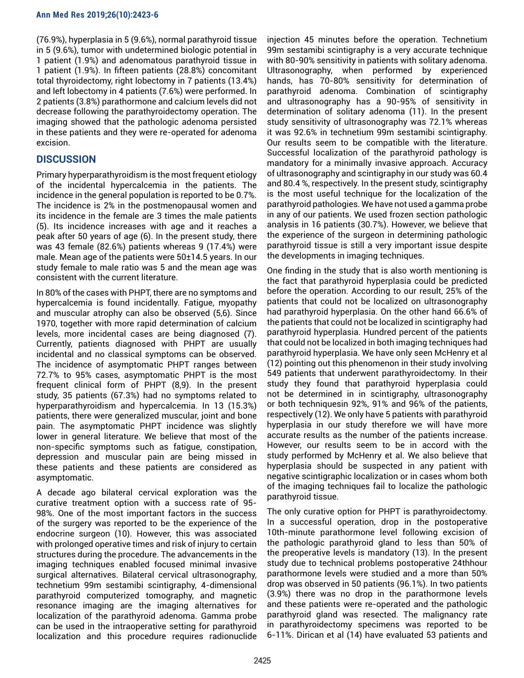(76.9%), hyperplasia in 5 (9.6%), normal parathyroid tissue in 5 (9.6%), tumor with undetermined biologic potential in 1 patient (1.9%) and adenomatous parathyroid tissue in 1 patient (1.9%). In fifteen patients (28.8%) concomitant total thyroidectomy, right lobectomy in 7 patients (13.4%) and left lobectomy in 4 patients (7.6%) were performed. In 2 patients (3.8%) parathormone and calcium levels did not decrease following the parathyroidectomy operation. The imaging showed that the pathologic adenoma persisted in these patients and they were re-operated for adenoma excision.

# **DISCUSSION**

Primary hyperparathyroidism is the most frequent etiology of the incidental hypercalcemia in the patients. The incidence in the general population is reported to be 0.7%. The incidence is 2% in the postmenopausal women and its incidence in the female are 3 times the male patients (5). Its incidence increases with age and it reaches a peak after 50 years of age (6). In the present study, there was 43 female (82.6%) patients whereas 9 (17.4%) were male. Mean age of the patients were 50±14.5 years. In our study female to male ratio was 5 and the mean age was consistent with the current literature.

In 80% of the cases with PHPT, there are no symptoms and hypercalcemia is found incidentally. Fatigue, myopathy and muscular atrophy can also be observed (5,6). Since 1970, together with more rapid determination of calcium levels, more incidental cases are being diagnosed (7). Currently, patients diagnosed with PHPT are usually incidental and no classical symptoms can be observed. The incidence of asymptomatic PHPT ranges between 72.7% to 95% cases, asymptomatic PHPT is the most frequent clinical form of PHPT (8,9). In the present study, 35 patients (67.3%) had no symptoms related to hyperparathyroidism and hypercalcemia. In 13 (15.3%) patients, there were generalized muscular, joint and bone pain. The asymptomatic PHPT incidence was slightly lower in general literature. We believe that most of the non-specific symptoms such as fatigue, constipation, depression and muscular pain are being missed in these patients and these patients are considered as asymptomatic.

A decade ago bilateral cervical exploration was the curative treatment option with a success rate of 95- 98%. One of the most important factors in the success of the surgery was reported to be the experience of the endocrine surgeon (10). However, this was associated with prolonged operative times and risk of injury to certain structures during the procedure. The advancements in the imaging techniques enabled focused minimal invasive surgical alternatives. Bilateral cervical ultrasonography, technetium 99m sestamibi scintigraphy, 4-dimensional parathyroid computerized tomography, and magnetic resonance imaging are the imaging alternatives for localization of the parathyroid adenoma. Gamma probe can be used in the intraoperative setting for parathyroid localization and this procedure requires radionuclide

injection 45 minutes before the operation. Technetium 99m sestamibi scintigraphy is a very accurate technique with 80-90% sensitivity in patients with solitary adenoma. Ultrasonography, when performed by experienced hands, has 70-80% sensitivity for determination of parathyroid adenoma. Combination of scintigraphy and ultrasonography has a 90-95% of sensitivity in determination of solitary adenoma (11). In the present study sensitivity of ultrasonography was 72.1% whereas it was 92.6% in technetium 99m sestamibi scintigraphy. Our results seem to be compatible with the literature. Successful localization of the parathyroid pathology is mandatory for a minimally invasive approach. Accuracy of ultrasonography and scintigraphy in our study was 60.4 and 80.4 %, respectively. In the present study, scintigraphy is the most useful technique for the localization of the parathyroid pathologies. We have not used a gamma probe in any of our patients. We used frozen section pathologic analysis in 16 patients (30.7%). However, we believe that the experience of the surgeon in determining pathologic parathyroid tissue is still a very important issue despite the developments in imaging techniques.

One finding in the study that is also worth mentioning is the fact that parathyroid hyperplasia could be predicted before the operation. According to our result, 25% of the patients that could not be localized on ultrasonography had parathyroid hyperplasia. On the other hand 66.6% of the patients that could not be localized in scintigraphy had parathyroid hyperplasia. Hundred percent of the patients that could not be localized in both imaging techniques had parathyroid hyperplasia. We have only seen McHenry et al (12) pointing out this phenomenon in their study involving 549 patients that underwent parathyroidectomy. In their study they found that parathyroid hyperplasia could not be determined in in scintigraphy, ultrasonography or both techniquesin 92%, 91% and 96% of the patients, respectively (12). We only have 5 patients with parathyroid hyperplasia in our study therefore we will have more accurate results as the number of the patients increase. However, our results seem to be in accord with the study performed by McHenry et al. We also believe that hyperplasia should be suspected in any patient with negative scintigraphic localization or in cases whom both of the imaging techniques fail to localize the pathologic parathyroid tissue.

The only curative option for PHPT is parathyroidectomy. In a successful operation, drop in the postoperative 10th-minute parathormone level following excision of the pathologic parathyroid gland to less than 50% of the preoperative levels is mandatory (13). In the present study due to technical problems postoperative 24thhour parathormone levels were studied and a more than 50% drop was observed in 50 patients (96.1%). In two patients (3.9%) there was no drop in the parathormone levels and these patients were re-operated and the pathologic parathyroid gland was resected. The malignancy rate in parathyroidectomy specimens was reported to be 6-11%. Dirican et al (14) have evaluated 53 patients and